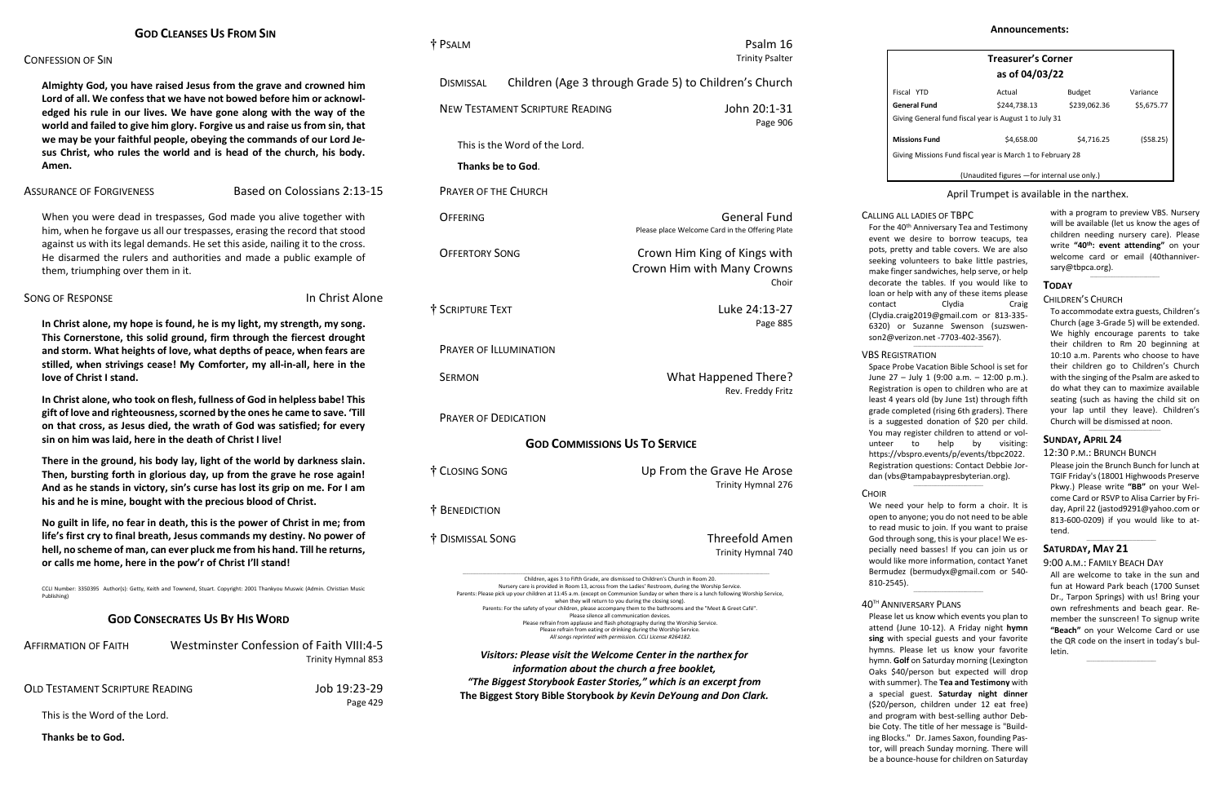### CONFESSION OF SIN

**Almighty God, you have raised Jesus from the grave and crowned him Lord of all. We confess that we have not bowed before him or acknowledged his rule in our lives. We have gone along with the way of the world and failed to give him glory. Forgive us and raise us from sin, that we may be your faithful people, obeying the commands of our Lord Jesus Christ, who rules the world and is head of the church, his body. Amen.**

### ASSURANCE OF FORGIVENESS Based on Colossians 2:13-15

When you were dead in trespasses, God made you alive together with him, when he forgave us all our trespasses, erasing the record that stood against us with its legal demands. He set this aside, nailing it to the cross. He disarmed the rulers and authorities and made a public example of them, triumphing over them in it.

### SONG OF RESPONSE **In Christ Alone**

**In Christ alone, my hope is found, he is my light, my strength, my song. This Cornerstone, this solid ground, firm through the fiercest drought and storm. What heights of love, what depths of peace, when fears are stilled, when strivings cease! My Comforter, my all-in-all, here in the love of Christ I stand.**

**In Christ alone, who took on flesh, fullness of God in helpless babe! This gift of love and righteousness, scorned by the ones he came to save. 'Till on that cross, as Jesus died, the wrath of God was satisfied; for every sin on him was laid, here in the death of Christ I live!**

**There in the ground, his body lay, light of the world by darkness slain. Then, bursting forth in glorious day, up from the grave he rose again! And as he stands in victory, sin's curse has lost its grip on me. For I am his and he is mine, bought with the precious blood of Christ.**

**No guilt in life, no fear in death, this is the power of Christ in me; from life's first cry to final breath, Jesus commands my destiny. No power of hell, no scheme of man, can ever pluck me from his hand. Till he returns, or calls me home, here in the pow'r of Christ I'll stand!**

CCLI Number: 3350395 Author(s): Getty, Keith and Townend, Stuart. Copyright: 2001 Thankyou Muswic (Admin. Christian Music Publishing)

# **GOD CONSECRATES US BY HIS WORD**

| <b>AFFIRMATION OF FAITH</b>     | Westminster Confession of Faith VIII:4-5 |
|---------------------------------|------------------------------------------|
|                                 | Trinity Hymnal 853                       |
|                                 |                                          |
| OLD TESTAMENT SCRIPTURE READING | Job 19:23-29                             |
|                                 | Page 429                                 |
| This is the Word of the Lord.   |                                          |

**Thanks be to God.**

Space Probe Vacation Bible School is set for June 27 – July 1 (9:00 a.m. – 12:00 p.m.). Registration is open to children who are at least 4 years old (by June 1st) through fifth grade completed (rising 6th graders). There is a suggested donation of \$20 per child. You may register children to attend or volunteer to help by visiting: [https://vbspro.events/p/events/tbpc2022.](https://vbspro.events/p/events/tbpc2022) Registration questions: Contact Debbie Jordan [\(vbs@tampabaypresbyterian.org\)](mailto:vbs@tampabaypresbyterian.org).  $\_$ 

### **CHOIR**

| † PSALM                                |                                                                                                                                                                                                                                                                                                                                                                                                                                                                                                                    | Psalm 16<br><b>Trinity Psalter</b>                                                                                                                                                                                                                   |  |  |
|----------------------------------------|--------------------------------------------------------------------------------------------------------------------------------------------------------------------------------------------------------------------------------------------------------------------------------------------------------------------------------------------------------------------------------------------------------------------------------------------------------------------------------------------------------------------|------------------------------------------------------------------------------------------------------------------------------------------------------------------------------------------------------------------------------------------------------|--|--|
| <b>DISMISSAL</b>                       |                                                                                                                                                                                                                                                                                                                                                                                                                                                                                                                    | Children (Age 3 through Grade 5) to Children's Church                                                                                                                                                                                                |  |  |
| <b>NEW TESTAMENT SCRIPTURE READING</b> |                                                                                                                                                                                                                                                                                                                                                                                                                                                                                                                    | John 20:1-31<br>Page 906                                                                                                                                                                                                                             |  |  |
|                                        | This is the Word of the Lord.                                                                                                                                                                                                                                                                                                                                                                                                                                                                                      |                                                                                                                                                                                                                                                      |  |  |
|                                        | Thanks be to God.                                                                                                                                                                                                                                                                                                                                                                                                                                                                                                  |                                                                                                                                                                                                                                                      |  |  |
| <b>PRAYER OF THE CHURCH</b>            |                                                                                                                                                                                                                                                                                                                                                                                                                                                                                                                    |                                                                                                                                                                                                                                                      |  |  |
| <b>OFFERING</b>                        |                                                                                                                                                                                                                                                                                                                                                                                                                                                                                                                    | <b>General Fund</b><br>Please place Welcome Card in the Offering Plate                                                                                                                                                                               |  |  |
| <b>OFFERTORY SONG</b>                  |                                                                                                                                                                                                                                                                                                                                                                                                                                                                                                                    | Crown Him King of Kings with<br>Crown Him with Many Crowns<br>Choir                                                                                                                                                                                  |  |  |
| † SCRIPTURE TEXT                       |                                                                                                                                                                                                                                                                                                                                                                                                                                                                                                                    | Luke 24:13-27<br>Page 885                                                                                                                                                                                                                            |  |  |
| <b>PRAYER OF ILLUMINATION</b>          |                                                                                                                                                                                                                                                                                                                                                                                                                                                                                                                    |                                                                                                                                                                                                                                                      |  |  |
| <b>SERMON</b>                          |                                                                                                                                                                                                                                                                                                                                                                                                                                                                                                                    | What Happened There?<br>Rev. Freddy Fritz                                                                                                                                                                                                            |  |  |
| <b>PRAYER OF DEDICATION</b>            |                                                                                                                                                                                                                                                                                                                                                                                                                                                                                                                    |                                                                                                                                                                                                                                                      |  |  |
|                                        | <b>GOD COMMISSIONS US TO SERVICE</b>                                                                                                                                                                                                                                                                                                                                                                                                                                                                               |                                                                                                                                                                                                                                                      |  |  |
| † CLOSING SONG                         |                                                                                                                                                                                                                                                                                                                                                                                                                                                                                                                    | Up From the Grave He Arose<br>Trinity Hymnal 276                                                                                                                                                                                                     |  |  |
| † BENEDICTION                          |                                                                                                                                                                                                                                                                                                                                                                                                                                                                                                                    |                                                                                                                                                                                                                                                      |  |  |
| † DISMISSAL SONG                       |                                                                                                                                                                                                                                                                                                                                                                                                                                                                                                                    | <b>Threefold Amen</b><br>Trinity Hymnal 740                                                                                                                                                                                                          |  |  |
|                                        | Children, ages 3 to Fifth Grade, are dismissed to Children's Church in Room 20.<br>Nursery care is provided in Room 13, across from the Ladies' Restroom, during the Worship Service.<br>when they will return to you during the closing song).<br>Please silence all communication devices.<br>Please refrain from applause and flash photography during the Worship Service.<br>Please refrain from eating or drinking during the Worship Service.<br>All songs reprinted with permission. CCLI License #264182. | Parents: Please pick up your children at 11:45 a.m. (except on Communion Sunday or when there is a lunch following Worship Service,<br>Parents: For the safety of your children, please accompany them to the bathrooms and the "Meet & Greet Café". |  |  |
|                                        |                                                                                                                                                                                                                                                                                                                                                                                                                                                                                                                    | Visitors: Please visit the Welcome Center in the narthex for                                                                                                                                                                                         |  |  |
|                                        | information about the church a free booklet,                                                                                                                                                                                                                                                                                                                                                                                                                                                                       | "The Biggest Storybook Easter Stories," which is an excerpt from                                                                                                                                                                                     |  |  |

| <b>Treasurer's Corner</b> |
|---------------------------|
| as of 04/03/22            |

| Actual                                                     | <b>Budget</b> | Variance   |  |  |  |
|------------------------------------------------------------|---------------|------------|--|--|--|
| \$244.738.13                                               | \$239.062.36  | \$5,675.77 |  |  |  |
| Giving General fund fiscal year is August 1 to July 31     |               |            |  |  |  |
|                                                            |               |            |  |  |  |
|                                                            |               | (558.25)   |  |  |  |
| Giving Missions Fund fiscal year is March 1 to February 28 |               |            |  |  |  |
| (Unaudited figures - for internal use only.)               |               |            |  |  |  |
|                                                            | \$4,658.00    | \$4.716.25 |  |  |  |

April Trumpet is available in the narthex.

For the 40<sup>th</sup> Anniversary Tea and Testimony event we desire to borrow teacups, tea pots, pretty and table covers. We are also seeking volunteers to bake little pastries, make finger sandwiches, help serve, or help decorate the tables. If you would like to loan or help with any of these items please contact Clydia Craig [\(Clydia.craig2019@gmail.com](mailto:Clydia.craig2019@gmail.com) or 813-335- 6320) or Suzanne Swenson [\(suzswen](mailto:suzswenson2@verizon.net)[son2@verizon.net](mailto:suzswenson2@verizon.net) -7703-402-3567).  $\_$ 

with a program to preview VBS. Nursery will be available (let us know the ages of children needing nursery care). Please write **"40 th : event attending"** on your welcome card or email (40thanniversary@tbpca.org). \_\_\_\_\_\_\_\_\_\_\_\_\_\_\_\_\_\_\_\_\_\_\_\_\_\_\_\_\_\_\_\_\_\_\_

### **TODAY**

### CHILDREN'S CHURCH

To accommodate extra guests, Children's Church (age 3-Grade 5) will be extended. We highly encourage parents to take their children to Rm 20 beginning at 10:10 a.m. Parents who choose to have their children go to Children's Church with the singing of the Psalm are asked to do what they can to maximize available seating (such as having the child sit on your lap until they leave). Children's Church will be dismissed at noon.

\_\_\_\_\_\_\_\_\_\_\_\_\_\_\_\_\_\_\_\_\_\_\_\_\_\_\_\_\_\_\_\_\_\_\_\_

### **SUNDAY, APRIL 24**

### 12:30 P.M.: BRUNCH BUNCH

Please join the Brunch Bunch for lunch at TGIF Friday's (18001 Highwoods Preserve Pkwy.) Please write **"BB"** on your Welcome Card or RSVP to Alisa Carrier by Friday, April 22 (jastod9291@yahoo.com or 813-600-0209) if you would like to attend.

\_\_\_\_\_\_\_\_\_\_\_\_\_\_\_\_\_\_\_\_\_\_\_\_\_\_\_\_\_\_\_\_\_\_\_

### **SATURDAY, MAY 21**

### 9:00 A.M.: FAMILY BEACH DAY

All are welcome to take in the sun and fun at Howard Park beach (1700 Sunset Dr., Tarpon Springs) with us! Bring your own refreshments and beach gear. Remember the sunscreen! To signup write **"Beach"** on your Welcome Card or use the QR code on the insert in today's bulletin.

 $\_$ 

# CALLING ALL LADIES OF TBPC

VBS REGISTRATION

We need your help to form a choir. It is open to anyone; you do not need to be able to read music to join. If you want to praise God through song, this is your place! We especially need basses! If you can join us or would like more information, contact Yanet Bermudez [\(bermudyx@gmail.com](mailto:bermudyx@gmail.com%20or%20540-810-2545) or 540- [810-2545\)](mailto:bermudyx@gmail.com%20or%20540-810-2545).

 $\_$ 

### 40TH ANNIVERSARY PLANS

Please let us know which events you plan to attend (June 10-12). A Friday night **hymn sing** with special guests and your favorite hymns. Please let us know your favorite hymn. **Golf** on Saturday morning (Lexington Oaks \$40/person but expected will drop with summer). The **Tea and Testimony** with a special guest. **Saturday night dinner** (\$20/person, children under 12 eat free) and program with best-selling author Debbie Coty. The title of her message is "Building Blocks." Dr. James Saxon, founding Pastor, will preach Sunday morning. There will be a bounce-house for children on Saturday